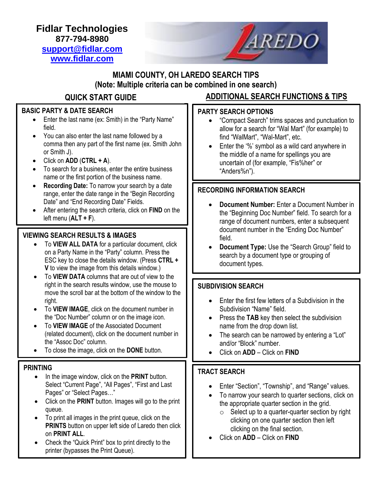# **Fidlar Technologies 877-794-8980 [support@fidlar.com](file:///C:/Fidlar/Indiana/Owen/support@fidlar.com) [www.fidlar.com](http://www.fidlar.com/)**



# **MIAMI COUNTY, OH LAREDO SEARCH TIPS (Note: Multiple criteria can be combined in one search)**

#### **BASIC PARTY & DATE SEARCH**

- Enter the last name (ex: Smith) in the "Party Name" field.
- You can also enter the last name followed by a comma then any part of the first name (ex. Smith John or Smith J).
- Click on **ADD** (**CTRL + A**).
- To search for a business, enter the entire business name or the first portion of the business name.
- **Recording Date:** To narrow your search by a date range, enter the date range in the "Begin Recording Date" and "End Recording Date" Fields.
- After entering the search criteria, click on **FIND** on the left menu (**ALT + F**).

### **VIEWING SEARCH RESULTS & IMAGES**

- To **VIEW ALL DATA** for a particular document, click on a Party Name in the "Party" column. Press the ESC key to close the details window. (Press **CTRL + V** to view the image from this details window.)
- To **VIEW DATA** columns that are out of view to the right in the search results window, use the mouse to move the scroll bar at the bottom of the window to the right.
- To **VIEW IMAGE**, click on the document number in the "Doc Number" column or on the image icon.
- To **VIEW IMAGE** of the Associated Document (related document), click on the document number in the "Assoc Doc" column.
- To close the image, click on the **DONE** button.

#### **PRINTING**

•

- In the image window, click on the **PRINT** button. Select "Current Page", "All Pages", "First and Last Pages" or "Select Pages…"
- Click on the **PRINT** button. Images will go to the print queue.
- To print all images in the print queue, click on the **PRINTS** button on upper left side of Laredo then click on **PRINT ALL**.
- Check the "Quick Print" box to print directly to the printer (bypasses the Print Queue).

# **QUICK START GUIDE ADDITIONAL SEARCH FUNCTIONS & TIPS**

## **PARTY SEARCH OPTIONS**

- "Compact Search" trims spaces and punctuation to allow for a search for "Wal Mart" (for example) to find "WalMart", "Wal-Mart", etc.
- Enter the '%' symbol as a wild card anywhere in the middle of a name for spellings you are uncertain of (for example, "Fis%her" or "Anders%n").

#### **RECORDING INFORMATION SEARCH**

- **Document Number:** Enter a Document Number in the "Beginning Doc Number" field. To search for a range of document numbers, enter a subsequent document number in the "Ending Doc Number" field.
- **Document Type:** Use the "Search Group" field to search by a document type or grouping of document types.

#### **SUBDIVISION SEARCH**

- Enter the first few letters of a Subdivision in the Subdivision "Name" field.
- Press the **TAB** key then select the subdivision name from the drop down list.
- The search can be narrowed by entering a "Lot" and/or "Block" number.
- Click on **ADD** Click on **FIND**

#### **TRACT SEARCH**

- Enter "Section", "Township", and "Range" values.
- To narrow your search to quarter sections, click on the appropriate quarter section in the grid.
	- $\circ$  Select up to a quarter-quarter section by right clicking on one quarter section then left clicking on the final section.
- Click on **ADD** Click on **FIND**